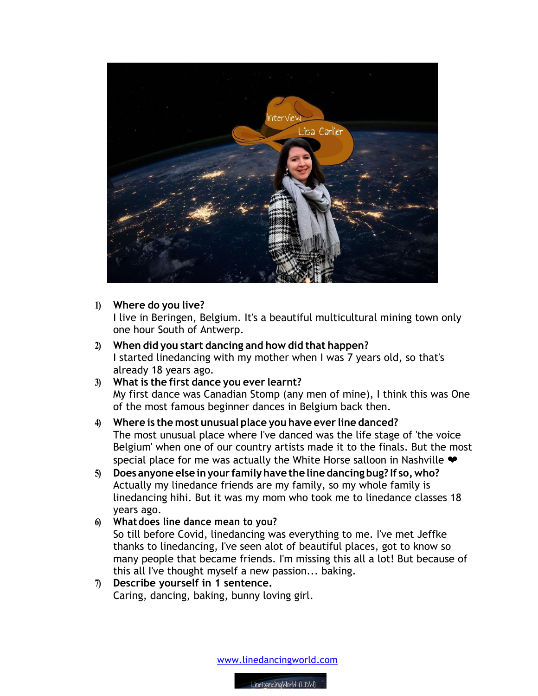

## **1) Where do you live?**

I live in Beringen, Belgium. It's a beautiful multicultural mining town only one hour South of Antwerp.

- **2) When did you start dancing and how did that happen?** I started linedancing with my mother when I was 7 years old, so that's already 18 years ago.
- **3) What is the first dance you ever learnt?** My first dance was Canadian Stomp (any men of mine), I think this was One of the most famous beginner dances in Belgium back then.
- **4) Where is the most unusual place you have ever line danced?** The most unusual place where I've danced was the life stage of 'the voice Belgium' when one of our country artists made it to the finals. But the most special place for me was actually the White Horse salloon in Nashville  $\blacktriangleright$
- **5) Does anyone else inyour familyhave the line dancing bug? If so,who?** Actually my linedance friends are my family, so my whole family is linedancing hihi. But it was my mom who took me to linedance classes 18 years ago.
- **6) Whatdoes line dance mean to you?** So till before Covid, linedancing was everything to me. I've met Jeffke thanks to linedancing, I've seen alot of beautiful places, got to know so many people that became friends. I'm missing this all a lot! But because of this all I've thought myself a new passion... baking.
- **7) Describe yourself in 1 sentence.**  Caring, dancing, baking, bunny loving girl.

www.linedancingworld.com

LineDancinaWorld (LDW)